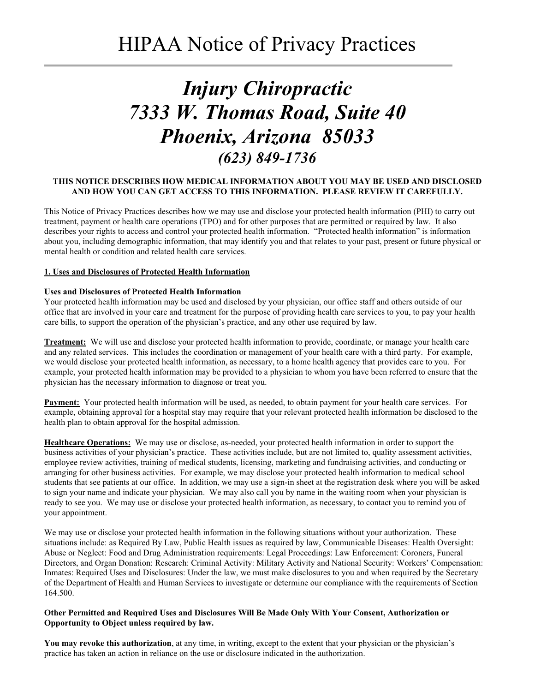# *Injury Chiropractic 7333 W. Thomas Road, Suite 40 Phoenix, Arizona 85033 (623) 849-1736*

### **THIS NOTICE DESCRIBES HOW MEDICAL INFORMATION ABOUT YOU MAY BE USED AND DISCLOSED AND HOW YOU CAN GET ACCESS TO THIS INFORMATION. PLEASE REVIEW IT CAREFULLY.**

This Notice of Privacy Practices describes how we may use and disclose your protected health information (PHI) to carry out treatment, payment or health care operations (TPO) and for other purposes that are permitted or required by law. It also describes your rights to access and control your protected health information. "Protected health information" is information about you, including demographic information, that may identify you and that relates to your past, present or future physical or mental health or condition and related health care services.

#### **1. Uses and Disclosures of Protected Health Information**

#### **Uses and Disclosures of Protected Health Information**

Your protected health information may be used and disclosed by your physician, our office staff and others outside of our office that are involved in your care and treatment for the purpose of providing health care services to you, to pay your health care bills, to support the operation of the physician's practice, and any other use required by law.

**Treatment:** We will use and disclose your protected health information to provide, coordinate, or manage your health care and any related services. This includes the coordination or management of your health care with a third party. For example, we would disclose your protected health information, as necessary, to a home health agency that provides care to you. For example, your protected health information may be provided to a physician to whom you have been referred to ensure that the physician has the necessary information to diagnose or treat you.

**Payment:** Your protected health information will be used, as needed, to obtain payment for your health care services. For example, obtaining approval for a hospital stay may require that your relevant protected health information be disclosed to the health plan to obtain approval for the hospital admission.

**Healthcare Operations:** We may use or disclose, as-needed, your protected health information in order to support the business activities of your physician's practice. These activities include, but are not limited to, quality assessment activities, employee review activities, training of medical students, licensing, marketing and fundraising activities, and conducting or arranging for other business activities. For example, we may disclose your protected health information to medical school students that see patients at our office. In addition, we may use a sign-in sheet at the registration desk where you will be asked to sign your name and indicate your physician. We may also call you by name in the waiting room when your physician is ready to see you. We may use or disclose your protected health information, as necessary, to contact you to remind you of your appointment.

We may use or disclose your protected health information in the following situations without your authorization. These situations include: as Required By Law, Public Health issues as required by law, Communicable Diseases: Health Oversight: Abuse or Neglect: Food and Drug Administration requirements: Legal Proceedings: Law Enforcement: Coroners, Funeral Directors, and Organ Donation: Research: Criminal Activity: Military Activity and National Security: Workers' Compensation: Inmates: Required Uses and Disclosures: Under the law, we must make disclosures to you and when required by the Secretary of the Department of Health and Human Services to investigate or determine our compliance with the requirements of Section 164.500.

### **Other Permitted and Required Uses and Disclosures Will Be Made Only With Your Consent, Authorization or Opportunity to Object unless required by law.**

**You may revoke this authorization**, at any time, in writing, except to the extent that your physician or the physician's practice has taken an action in reliance on the use or disclosure indicated in the authorization.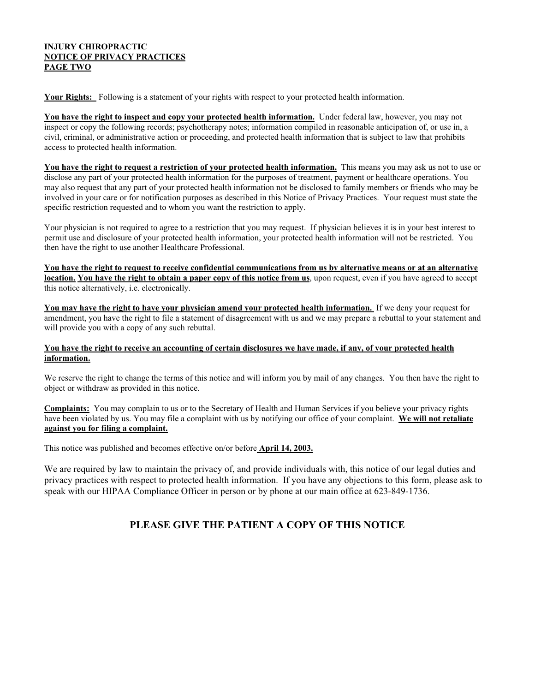## **INJURY CHIROPRACTIC NOTICE OF PRIVACY PRACTICES PAGE TWO**

Your Rights: Following is a statement of your rights with respect to your protected health information.

**You have the right to inspect and copy your protected health information.** Under federal law, however, you may not inspect or copy the following records; psychotherapy notes; information compiled in reasonable anticipation of, or use in, a civil, criminal, or administrative action or proceeding, and protected health information that is subject to law that prohibits access to protected health information.

**You have the right to request a restriction of your protected health information.** This means you may ask us not to use or disclose any part of your protected health information for the purposes of treatment, payment or healthcare operations. You may also request that any part of your protected health information not be disclosed to family members or friends who may be involved in your care or for notification purposes as described in this Notice of Privacy Practices. Your request must state the specific restriction requested and to whom you want the restriction to apply.

Your physician is not required to agree to a restriction that you may request. If physician believes it is in your best interest to permit use and disclosure of your protected health information, your protected health information will not be restricted. You then have the right to use another Healthcare Professional.

**You have the right to request to receive confidential communications from us by alternative means or at an alternative location. You have the right to obtain a paper copy of this notice from us**, upon request, even if you have agreed to accept this notice alternatively, i.e. electronically.

**You may have the right to have your physician amend your protected health information.** If we deny your request for amendment, you have the right to file a statement of disagreement with us and we may prepare a rebuttal to your statement and will provide you with a copy of any such rebuttal.

## **You have the right to receive an accounting of certain disclosures we have made, if any, of your protected health information.**

We reserve the right to change the terms of this notice and will inform you by mail of any changes. You then have the right to object or withdraw as provided in this notice.

**Complaints:** You may complain to us or to the Secretary of Health and Human Services if you believe your privacy rights have been violated by us. You may file a complaint with us by notifying our office of your complaint. **We will not retaliate against you for filing a complaint.**

This notice was published and becomes effective on/or before **April 14, 2003.**

We are required by law to maintain the privacy of, and provide individuals with, this notice of our legal duties and privacy practices with respect to protected health information. If you have any objections to this form, please ask to speak with our HIPAA Compliance Officer in person or by phone at our main office at 623-849-1736.

# **PLEASE GIVE THE PATIENT A COPY OF THIS NOTICE**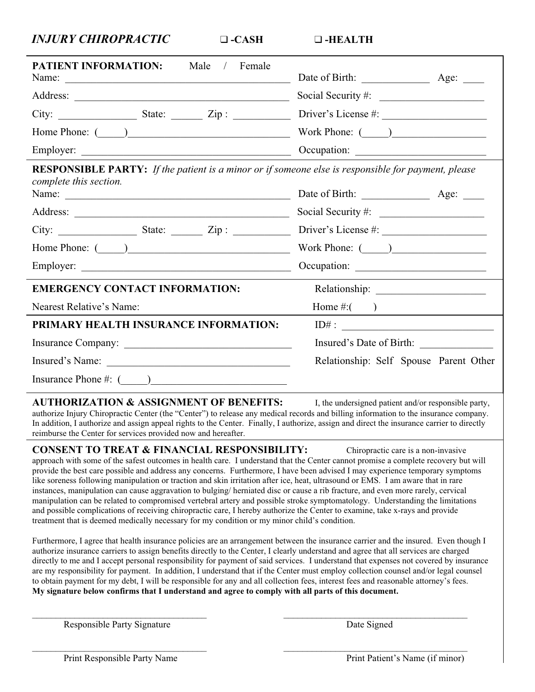*INJURY CHIROPRACTIC*  $□$  -CASH  $□$ 

| [EALT]<br>н<br>. . |
|--------------------|
|--------------------|

| PATIENT INFORMATION:<br>Male<br>/ Female                                                                                            | Age:                                                 |
|-------------------------------------------------------------------------------------------------------------------------------------|------------------------------------------------------|
|                                                                                                                                     |                                                      |
|                                                                                                                                     |                                                      |
| Home Phone: $\qquad \qquad$                                                                                                         |                                                      |
| Employer:                                                                                                                           |                                                      |
| <b>RESPONSIBLE PARTY:</b> If the patient is a minor or if someone else is responsible for payment, please<br>complete this section. | Date of Birth: <u>______________</u> Age: ____       |
|                                                                                                                                     | Social Security #:                                   |
|                                                                                                                                     |                                                      |
| Home Phone: $\qquad \qquad$                                                                                                         |                                                      |
|                                                                                                                                     | Occupation:                                          |
| <b>EMERGENCY CONTACT INFORMATION:</b>                                                                                               |                                                      |
| Nearest Relative's Name:                                                                                                            | Home $\#$ : $($                                      |
| PRIMARY HEALTH INSURANCE INFORMATION:                                                                                               |                                                      |
|                                                                                                                                     | Insured's Date of Birth:                             |
| Insured's Name:                                                                                                                     | Relationship: Self Spouse Parent Other               |
| Insurance Phone #: $(\_\_\_\_\_\_$                                                                                                  |                                                      |
| <b>AUTHORIZATION &amp; ASSIGNMENT OF BENEFITS:</b>                                                                                  | I, the undersigned patient and/or responsible party, |

authorize Injury Chiropractic Center (the "Center") to release any medical records and billing information to the insurance company. In addition, I authorize and assign appeal rights to the Center. Finally, I authorize, assign and direct the insurance carrier to directly reimburse the Center for services provided now and hereafter.

# **CONSENT TO TREAT & FINANCIAL RESPONSIBILITY:** Chiropractic care is a non-invasive

approach with some of the safest outcomes in health care. I understand that the Center cannot promise a complete recovery but will provide the best care possible and address any concerns. Furthermore, I have been advised I may experience temporary symptoms like soreness following manipulation or traction and skin irritation after ice, heat, ultrasound or EMS. I am aware that in rare instances, manipulation can cause aggravation to bulging/ herniated disc or cause a rib fracture, and even more rarely, cervical manipulation can be related to compromised vertebral artery and possible stroke symptomatology. Understanding the limitations and possible complications of receiving chiropractic care, I hereby authorize the Center to examine, take x-rays and provide treatment that is deemed medically necessary for my condition or my minor child's condition.

Furthermore, I agree that health insurance policies are an arrangement between the insurance carrier and the insured. Even though I authorize insurance carriers to assign benefits directly to the Center, I clearly understand and agree that all services are charged directly to me and I accept personal responsibility for payment of said services. I understand that expenses not covered by insurance are my responsibility for payment. In addition, I understand that if the Center must employ collection counsel and/or legal counsel to obtain payment for my debt, I will be responsible for any and all collection fees, interest fees and reasonable attorney's fees. **My signature below confirms that I understand and agree to comply with all parts of this document.**

 $\_$  , and the state of the state of the state of the state of the state of the state of the state of the state of the state of the state of the state of the state of the state of the state of the state of the state of the

\_\_\_\_\_\_\_\_\_\_\_\_\_\_\_\_\_\_\_\_\_\_\_\_\_\_\_\_\_\_\_\_\_\_\_\_\_ \_\_\_\_\_\_\_\_\_\_\_\_\_\_\_\_\_\_\_\_\_\_\_\_\_\_\_\_\_\_\_\_\_\_\_\_\_\_\_

Responsible Party Signature **Date Signed** Date Signed